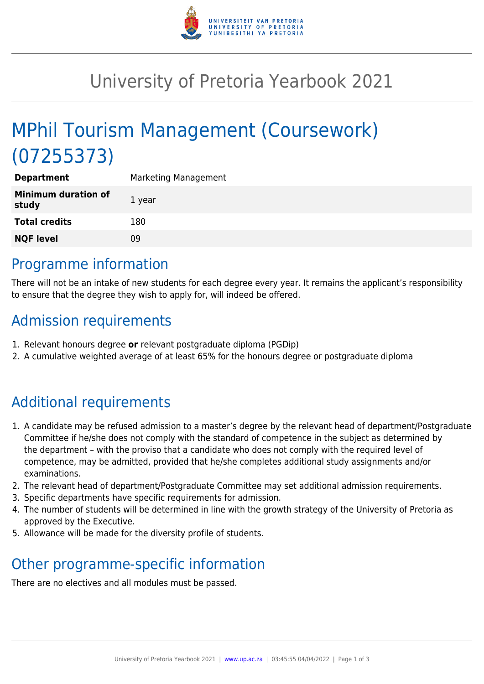

## University of Pretoria Yearbook 2021

# MPhil Tourism Management (Coursework) (07255373)

| <b>Department</b>                   | <b>Marketing Management</b> |
|-------------------------------------|-----------------------------|
| <b>Minimum duration of</b><br>study | 1 year                      |
| <b>Total credits</b>                | 180                         |
| <b>NQF level</b>                    | 09                          |
|                                     |                             |

### Programme information

There will not be an intake of new students for each degree every year. It remains the applicant's responsibility to ensure that the degree they wish to apply for, will indeed be offered.

### Admission requirements

- 1. Relevant honours degree **or** relevant postgraduate diploma (PGDip)
- 2. A cumulative weighted average of at least 65% for the honours degree or postgraduate diploma

## Additional requirements

- 1. A candidate may be refused admission to a master's degree by the relevant head of department/Postgraduate Committee if he/she does not comply with the standard of competence in the subject as determined by the department – with the proviso that a candidate who does not comply with the required level of competence, may be admitted, provided that he/she completes additional study assignments and/or examinations.
- 2. The relevant head of department/Postgraduate Committee may set additional admission requirements.
- 3. Specific departments have specific requirements for admission.
- 4. The number of students will be determined in line with the growth strategy of the University of Pretoria as approved by the Executive.
- 5. Allowance will be made for the diversity profile of students.

### Other programme-specific information

There are no electives and all modules must be passed.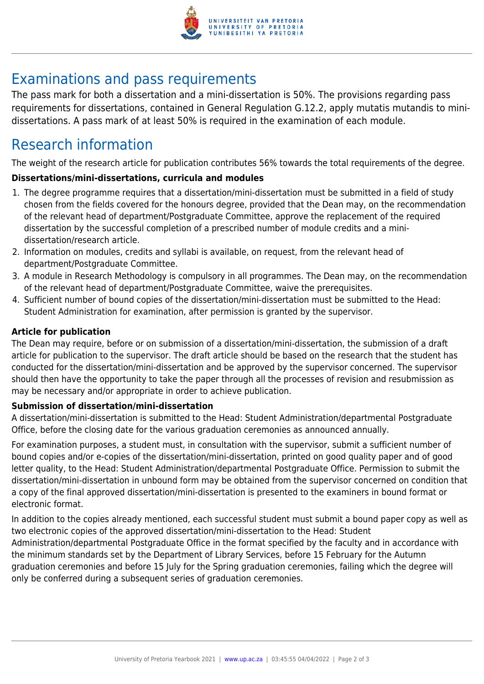

### Examinations and pass requirements

The pass mark for both a dissertation and a mini-dissertation is 50%. The provisions regarding pass requirements for dissertations, contained in General Regulation G.12.2, apply mutatis mutandis to minidissertations. A pass mark of at least 50% is required in the examination of each module.

### Research information

The weight of the research article for publication contributes 56% towards the total requirements of the degree.

#### **Dissertations/mini-dissertations, curricula and modules**

- 1. The degree programme requires that a dissertation/mini-dissertation must be submitted in a field of study chosen from the fields covered for the honours degree, provided that the Dean may, on the recommendation of the relevant head of department/Postgraduate Committee, approve the replacement of the required dissertation by the successful completion of a prescribed number of module credits and a minidissertation/research article.
- 2. Information on modules, credits and syllabi is available, on request, from the relevant head of department/Postgraduate Committee.
- 3. A module in Research Methodology is compulsory in all programmes. The Dean may, on the recommendation of the relevant head of department/Postgraduate Committee, waive the prerequisites.
- 4. Sufficient number of bound copies of the dissertation/mini-dissertation must be submitted to the Head: Student Administration for examination, after permission is granted by the supervisor.

#### **Article for publication**

The Dean may require, before or on submission of a dissertation/mini-dissertation, the submission of a draft article for publication to the supervisor. The draft article should be based on the research that the student has conducted for the dissertation/mini-dissertation and be approved by the supervisor concerned. The supervisor should then have the opportunity to take the paper through all the processes of revision and resubmission as may be necessary and/or appropriate in order to achieve publication.

#### **Submission of dissertation/mini-dissertation**

A dissertation/mini-dissertation is submitted to the Head: Student Administration/departmental Postgraduate Office, before the closing date for the various graduation ceremonies as announced annually.

For examination purposes, a student must, in consultation with the supervisor, submit a sufficient number of bound copies and/or e-copies of the dissertation/mini-dissertation, printed on good quality paper and of good letter quality, to the Head: Student Administration/departmental Postgraduate Office. Permission to submit the dissertation/mini-dissertation in unbound form may be obtained from the supervisor concerned on condition that a copy of the final approved dissertation/mini-dissertation is presented to the examiners in bound format or electronic format.

In addition to the copies already mentioned, each successful student must submit a bound paper copy as well as two electronic copies of the approved dissertation/mini-dissertation to the Head: Student Administration/departmental Postgraduate Office in the format specified by the faculty and in accordance with the minimum standards set by the Department of Library Services, before 15 February for the Autumn graduation ceremonies and before 15 July for the Spring graduation ceremonies, failing which the degree will only be conferred during a subsequent series of graduation ceremonies.